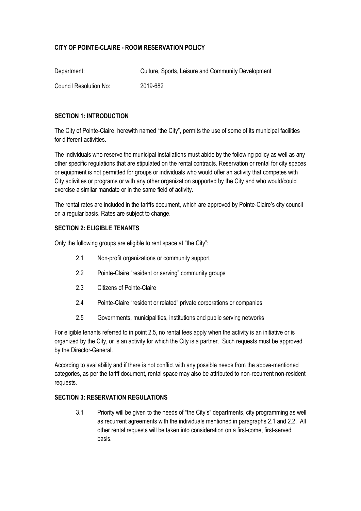# **CITY OF POINTE-CLAIRE - ROOM RESERVATION POLICY**

| Department:            | Culture, Sports, Leisure and Community Development |
|------------------------|----------------------------------------------------|
| Council Resolution No: | 2019-682                                           |

#### **SECTION 1: INTRODUCTION**

The City of Pointe-Claire, herewith named "the City", permits the use of some of its municipal facilities for different activities.

The individuals who reserve the municipal installations must abide by the following policy as well as any other specific regulations that are stipulated on the rental contracts. Reservation or rental for city spaces or equipment is not permitted for groups or individuals who would offer an activity that competes with City activities or programs or with any other organization supported by the City and who would/could exercise a similar mandate or in the same field of activity.

The rental rates are included in the tariffs document, which are approved by Pointe-Claire's city council on a regular basis. Rates are subject to change.

#### **SECTION 2: ELIGIBLE TENANTS**

Only the following groups are eligible to rent space at "the City":

- 2.1 Non-profit organizations or community support
- 2.2 Pointe-Claire "resident or serving" community groups
- 2.3 Citizens of Pointe-Claire
- 2.4 Pointe-Claire "resident or related" private corporations or companies
- 2.5 Governments, municipalities, institutions and public serving networks

For eligible tenants referred to in point 2.5, no rental fees apply when the activity is an initiative or is organized by the City, or is an activity for which the City is a partner. Such requests must be approved by the Director-General.

According to availability and if there is not conflict with any possible needs from the above-mentioned categories, as per the tariff document, rental space may also be attributed to non-recurrent non-resident requests.

## **SECTION 3: RESERVATION REGULATIONS**

3.1 Priority will be given to the needs of "the City's" departments, city programming as well as recurrent agreements with the individuals mentioned in paragraphs 2.1 and 2.2. All other rental requests will be taken into consideration on a first-come, first-served basis.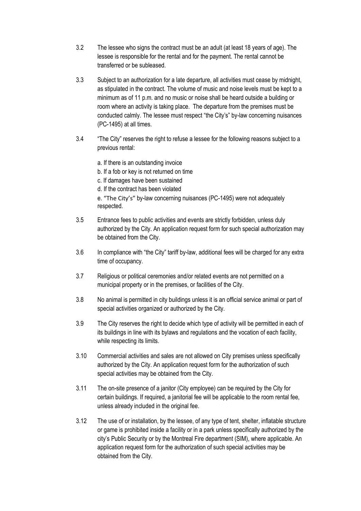- 3.2 The lessee who signs the contract must be an adult (at least 18 years of age). The lessee is responsible for the rental and for the payment. The rental cannot be transferred or be subleased.
- 3.3 Subject to an authorization for a late departure, all activities must cease by midnight, as stipulated in the contract. The volume of music and noise levels must be kept to a minimum as of 11 p.m. and no music or noise shall be heard outside a building or room where an activity is taking place. The departure from the premises must be conducted calmly. The lessee must respect "the City's" by-law concerning nuisances (PC-1495) at all times.
- 3.4 "The City" reserves the right to refuse a lessee for the following reasons subject to a previous rental:
	- a. If there is an outstanding invoice
	- b. If a fob or key is not returned on time
	- c. If damages have been sustained
	- d. If the contract has been violated

e. "The City's" by-law concerning nuisances (PC-1495) were not adequately respected.

- 3.5 Entrance fees to public activities and events are strictly forbidden, unless duly authorized by the City. An application request form for such special authorization may be obtained from the City.
- 3.6 In compliance with "the City" tariff by-law, additional fees will be charged for any extra time of occupancy.
- 3.7 Religious or political ceremonies and/or related events are not permitted on a municipal property or in the premises, or facilities of the City.
- 3.8 No animal is permitted in city buildings unless it is an official service animal or part of special activities organized or authorized by the City.
- 3.9 The City reserves the right to decide which type of activity will be permitted in each of its buildings in line with its bylaws and regulations and the vocation of each facility, while respecting its limits.
- 3.10 Commercial activities and sales are not allowed on City premises unless specifically authorized by the City. An application request form for the authorization of such special activities may be obtained from the City.
- 3.11 The on-site presence of a janitor (City employee) can be required by the City for certain buildings. If required, a janitorial fee will be applicable to the room rental fee, unless already included in the original fee.
- 3.12 The use of or installation, by the lessee, of any type of tent, shelter, inflatable structure or game is prohibited inside a facility or in a park unless specifically authorized by the city's Public Security or by the Montreal Fire department (SIM), where applicable. An application request form for the authorization of such special activities may be obtained from the City.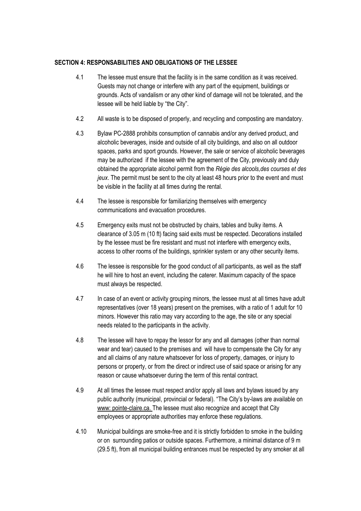## **SECTION 4: RESPONSABILITIES AND OBLIGATIONS OF THE LESSEE**

- 4.1 The lessee must ensure that the facility is in the same condition as it was received. Guests may not change or interfere with any part of the equipment, buildings or grounds. Acts of vandalism or any other kind of damage will not be tolerated, and the lessee will be held liable by "the City".
- 4.2 All waste is to be disposed of properly, and recycling and composting are mandatory.
- 4.3 Bylaw PC-2888 prohibits consumption of cannabis and/or any derived product, and alcoholic beverages, inside and outside of all city buildings, and also on all outdoor spaces, parks and sport grounds. However, the sale or service of alcoholic beverages may be authorized if the lessee with the agreement of the City, previously and duly obtained the appropriate alcohol permit from the *Régie des alcools,des courses et des jeux*. The permit must be sent to the city at least 48 hours prior to the event and must be visible in the facility at all times during the rental.
- 4.4 The lessee is responsible for familiarizing themselves with emergency communications and evacuation procedures.
- 4.5 Emergency exits must not be obstructed by chairs, tables and bulky items. A clearance of 3.05 m (10 ft) facing said exits must be respected. Decorations installed by the lessee must be fire resistant and must not interfere with emergency exits, access to other rooms of the buildings, sprinkler system or any other security items.
- 4.6 The lessee is responsible for the good conduct of all participants, as well as the staff he will hire to host an event, including the caterer. Maximum capacity of the space must always be respected.
- 4.7 In case of an event or activity grouping minors, the lessee must at all times have adult representatives (over 18 years) present on the premises, with a ratio of 1 adult for 10 minors. However this ratio may vary according to the age, the site or any special needs related to the participants in the activity.
- 4.8 The lessee will have to repay the lessor for any and all damages (other than normal wear and tear) caused to the premises and will have to compensate the City for any and all claims of any nature whatsoever for loss of property, damages, or injury to persons or property, or from the direct or indirect use of said space or arising for any reason or cause whatsoever during the term of this rental contract.
- 4.9 At all times the lessee must respect and/or apply all laws and bylaws issued by any public authority (municipal, provincial or federal). "The City's by-laws are available on www: pointe-claire.ca. The lessee must also recognize and accept that City employees or appropriate authorities may enforce these regulations.
- 4.10 Municipal buildings are smoke-free and it is strictly forbidden to smoke in the building or on surrounding patios or outside spaces. Furthermore, a minimal distance of 9 m (29.5 ft), from all municipal building entrances must be respected by any smoker at all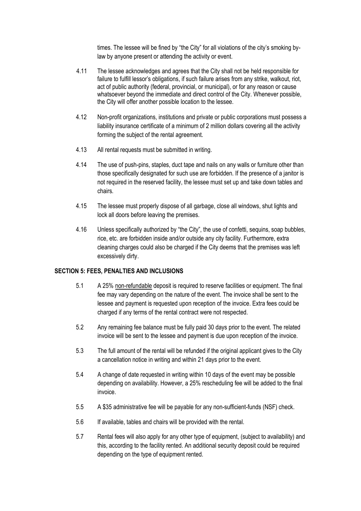times. The lessee will be fined by "the City" for all violations of the city's smoking bylaw by anyone present or attending the activity or event.

- 4.11 The lessee acknowledges and agrees that the City shall not be held responsible for failure to fulfill lessor's obligations, if such failure arises from any strike, walkout, riot, act of public authority (federal, provincial, or municipal), or for any reason or cause whatsoever beyond the immediate and direct control of the City. Whenever possible, the City will offer another possible location to the lessee.
- 4.12 Non-profit organizations, institutions and private or public corporations must possess a liability insurance certificate of a minimum of 2 million dollars covering all the activity forming the subject of the rental agreement.
- 4.13 All rental requests must be submitted in writing.
- 4.14 The use of push-pins, staples, duct tape and nails on any walls or furniture other than those specifically designated for such use are forbidden. If the presence of a janitor is not required in the reserved facility, the lessee must set up and take down tables and chairs.
- 4.15 The lessee must properly dispose of all garbage, close all windows, shut lights and lock all doors before leaving the premises.
- 4.16 Unless specifically authorized by "the City", the use of confetti, sequins, soap bubbles, rice, etc. are forbidden inside and/or outside any city facility. Furthermore, extra cleaning charges could also be charged if the City deems that the premises was left excessively dirty.

#### **SECTION 5: FEES, PENALTIES AND INCLUSIONS**

- 5.1 A 25% non-refundable deposit is required to reserve facilities or equipment. The final fee may vary depending on the nature of the event. The invoice shall be sent to the lessee and payment is requested upon reception of the invoice. Extra fees could be charged if any terms of the rental contract were not respected.
- 5.2 Any remaining fee balance must be fully paid 30 days prior to the event. The related invoice will be sent to the lessee and payment is due upon reception of the invoice.
- 5.3 The full amount of the rental will be refunded if the original applicant gives to the City a cancellation notice in writing and within 21 days prior to the event.
- 5.4 A change of date requested in writing within 10 days of the event may be possible depending on availability. However, a 25% rescheduling fee will be added to the final invoice.
- 5.5 A \$35 administrative fee will be payable for any non-sufficient-funds (NSF) check.
- 5.6 If available, tables and chairs will be provided with the rental.
- 5.7 Rental fees will also apply for any other type of equipment, (subject to availability) and this, according to the facility rented. An additional security deposit could be required depending on the type of equipment rented.